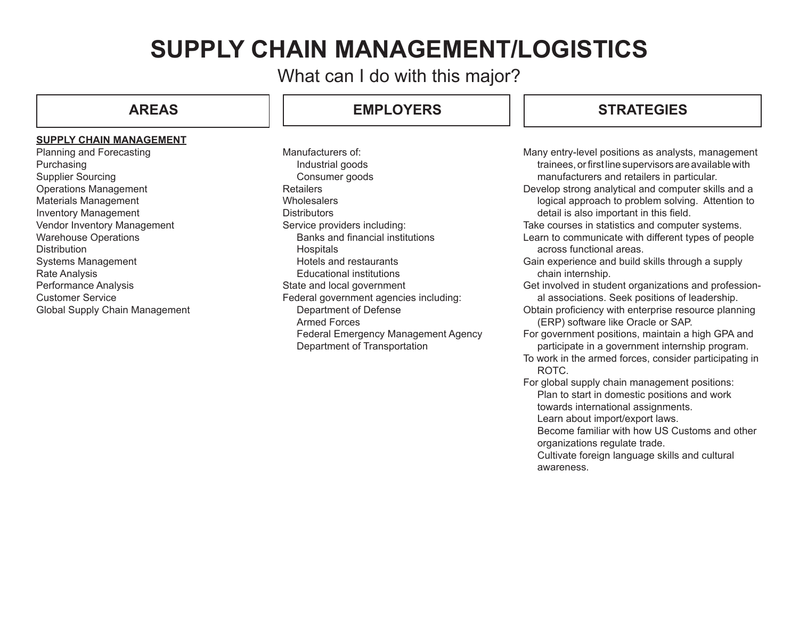# **SUPPLY CHAIN MANAGEMENT/LOGISTICS**

What can I do with this major?

#### **SUPPLY CHAIN MANAGEMENT**

Planning and Forecasting Purchasing Supplier Sourcing Operations Management Materials Management Inventory Management Vendor Inventory Management Warehouse Operations **Distribution** Systems Management Rate Analysis Performance Analysis Customer Service Global Supply Chain Management

# **AREAS EMPLOYERS**

Manufacturers of: Industrial goods Consumer goods **Retailers Wholesalers Distributors** Service providers including: Banks and financial institutions **Hospitals** Hotels and restaurants Educational institutions State and local government Federal government agencies including: Department of Defense Armed Forces Federal Emergency Management Agency Department of Transportation

## **STRATEGIES**

Many entry-level positions as analysts, management trainees, or first line supervisors are available with manufacturers and retailers in particular. Develop strong analytical and computer skills and a logical approach to problem solving. Attention to detail is also important in this field. Take courses in statistics and computer systems. Learn to communicate with different types of people across functional areas. Gain experience and build skills through a supply chain internship. Get involved in student organizations and professional associations. Seek positions of leadership. Obtain proficiency with enterprise resource planning (ERP) software like Oracle or SAP. For government positions, maintain a high GPA and participate in a government internship program. To work in the armed forces, consider participating in

ROTC. For global supply chain management positions:

Plan to start in domestic positions and work towards international assignments.

Learn about import/export laws.

Become familiar with how US Customs and other organizations regulate trade.

Cultivate foreign language skills and cultural awareness.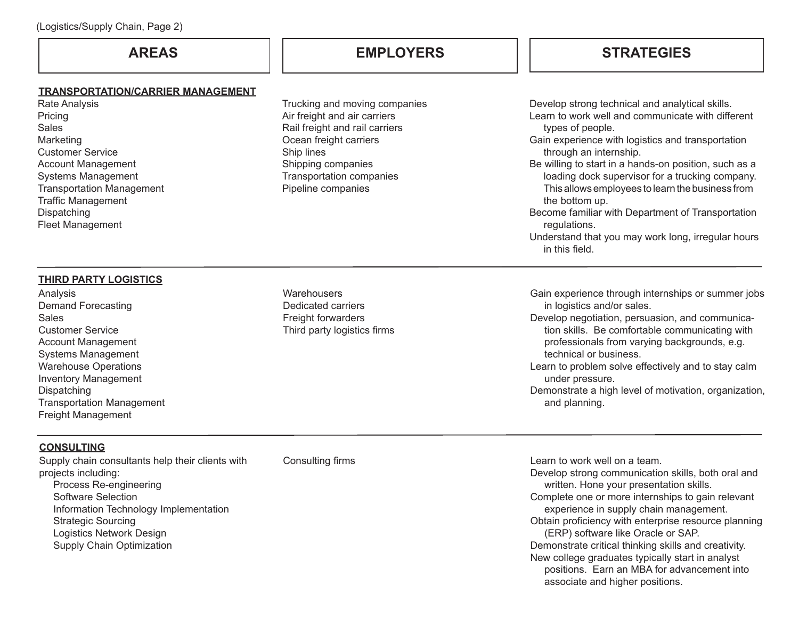#### **TRANSPORTATION/CARRIER MANAGEMENT**

Rate Analysis Pricing Sales Marketing Customer Service Account Management Systems Management Transportation Management Traffic Management **Dispatching** Fleet Management

Trucking and moving companies Air freight and air carriers Rail freight and rail carriers Ocean freight carriers Ship lines Shipping companies Transportation companies Pipeline companies

# **AREAS EMPLOYERS STRATEGIES**

Develop strong technical and analytical skills. Learn to work well and communicate with different types of people.

- Gain experience with logistics and transportation through an internship.
- Be willing to start in a hands-on position, such as a loading dock supervisor for a trucking company. This allows employees to learn the business from the bottom up.
- Become familiar with Department of Transportation regulations.

Understand that you may work long, irregular hours in this field.

### **THIRD PARTY LOGISTICS**

Analysis Demand Forecasting **Sales** Customer Service Account Management Systems Management Warehouse Operations Inventory Management Dispatching Transportation Management Freight Management

**Warehousers** Dedicated carriers Freight forwarders Third party logistics firms Gain experience through internships or summer jobs in logistics and/or sales.

- Develop negotiation, persuasion, and communication skills. Be comfortable communicating with professionals from varying backgrounds, e.g. technical or business.
- Learn to problem solve effectively and to stay calm under pressure.
- Demonstrate a high level of motivation, organization, and planning.

### **CONSULTING**

Supply chain consultants help their clients with projects including: Process Re-engineering Software Selection Information Technology Implementation Strategic Sourcing Logistics Network Design Supply Chain Optimization

Consulting firms Learn to work well on a team. Develop strong communication skills, both oral and written. Hone your presentation skills. Complete one or more internships to gain relevant experience in supply chain management. Obtain proficiency with enterprise resource planning (ERP) software like Oracle or SAP. Demonstrate critical thinking skills and creativity. New college graduates typically start in analyst positions. Earn an MBA for advancement into associate and higher positions.